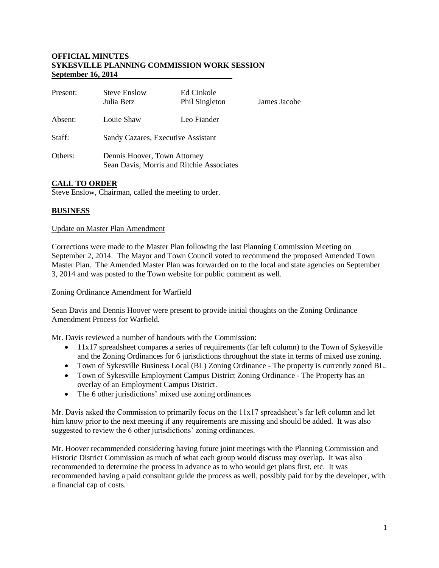#### **OFFICIAL MINUTES SYKESVILLE PLANNING COMMISSION WORK SESSION September 16, 2014**

| Present: | <b>Steve Enslow</b><br>Julia Betz                                         | Ed Cinkole<br>Phil Singleton | James Jacobe |
|----------|---------------------------------------------------------------------------|------------------------------|--------------|
| Absent:  | Louie Shaw                                                                | Leo Fiander                  |              |
| Staff:   | Sandy Cazares, Executive Assistant                                        |                              |              |
| Others:  | Dennis Hoover, Town Attorney<br>Sean Davis, Morris and Ritchie Associates |                              |              |

# **CALL TO ORDER**

Steve Enslow, Chairman, called the meeting to order.

## **BUSINESS**

#### Update on Master Plan Amendment

Corrections were made to the Master Plan following the last Planning Commission Meeting on September 2, 2014. The Mayor and Town Council voted to recommend the proposed Amended Town Master Plan. The Amended Master Plan was forwarded on to the local and state agencies on September 3, 2014 and was posted to the Town website for public comment as well.

#### Zoning Ordinance Amendment for Warfield

Sean Davis and Dennis Hoover were present to provide initial thoughts on the Zoning Ordinance Amendment Process for Warfield.

Mr. Davis reviewed a number of handouts with the Commission:

- 11x17 spreadsheet compares a series of requirements (far left column) to the Town of Sykesville and the Zoning Ordinances for 6 jurisdictions throughout the state in terms of mixed use zoning.
- Town of Sykesville Business Local (BL) Zoning Ordinance The property is currently zoned BL.
- Town of Sykesville Employment Campus District Zoning Ordinance The Property has an overlay of an Employment Campus District.
- The 6 other jurisdictions' mixed use zoning ordinances

Mr. Davis asked the Commission to primarily focus on the  $11x17$  spreadsheet's far left column and let him know prior to the next meeting if any requirements are missing and should be added. It was also suggested to review the 6 other jurisdictions' zoning ordinances.

Mr. Hoover recommended considering having future joint meetings with the Planning Commission and Historic District Commission as much of what each group would discuss may overlap. It was also recommended to determine the process in advance as to who would get plans first, etc. It was recommended having a paid consultant guide the process as well, possibly paid for by the developer, with a financial cap of costs.